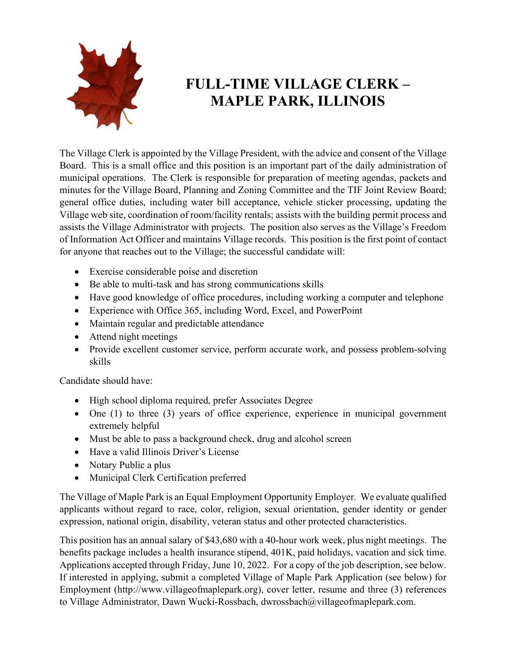

# FULL-TIME VILLAGE CLERK – MAPLE PARK, ILLINOIS

The Village Clerk is appointed by the Village President, with the advice and consent of the Village Board. This is a small office and this position is an important part of the daily administration of municipal operations. The Clerk is responsible for preparation of meeting agendas, packets and minutes for the Village Board, Planning and Zoning Committee and the TIF Joint Review Board; general office duties, including water bill acceptance, vehicle sticker processing, updating the Village web site, coordination of room/facility rentals; assists with the building permit process and assists the Village Administrator with projects. The position also serves as the Village's Freedom of Information Act Officer and maintains Village records. This position is the first point of contact for anyone that reaches out to the Village; the successful candidate will:

- Exercise considerable poise and discretion
- Be able to multi-task and has strong communications skills
- Have good knowledge of office procedures, including working a computer and telephone
- Experience with Office 365, including Word, Excel, and PowerPoint
- Maintain regular and predictable attendance
- Attend night meetings
- Provide excellent customer service, perform accurate work, and possess problem-solving skills

Candidate should have:

- High school diploma required, prefer Associates Degree
- One (1) to three (3) years of office experience, experience in municipal government extremely helpful
- Must be able to pass a background check, drug and alcohol screen
- Have a valid Illinois Driver's License
- Notary Public a plus
- Municipal Clerk Certification preferred

The Village of Maple Park is an Equal Employment Opportunity Employer. We evaluate qualified applicants without regard to race, color, religion, sexual orientation, gender identity or gender expression, national origin, disability, veteran status and other protected characteristics.

This position has an annual salary of \$43,680 with a 40-hour work week, plus night meetings. The benefits package includes a health insurance stipend, 401K, paid holidays, vacation and sick time. Applications accepted through Friday, June 10, 2022. For a copy of the job description, see below. If interested in applying, submit a completed Village of Maple Park Application (see below) for Employment (http://www.villageofmaplepark.org), cover letter, resume and three (3) references to Village Administrator, Dawn Wucki-Rossbach, dwrossbach@villageofmaplepark.com.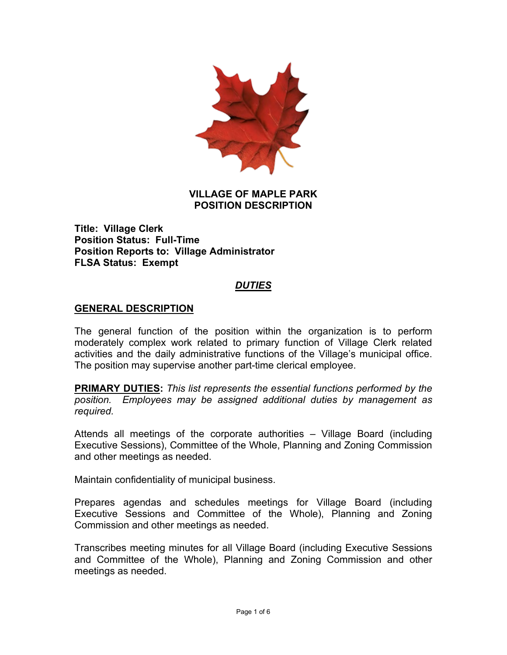

#### **VILLAGE OF MAPLE PARK POSITION DESCRIPTION**

**Title: Village Clerk Position Status: Full-Time Position Reports to: Village Administrator FLSA Status: Exempt** 

# *DUTIES*

#### **GENERAL DESCRIPTION**

The general function of the position within the organization is to perform moderately complex work related to primary function of Village Clerk related activities and the daily administrative functions of the Village's municipal office. The position may supervise another part-time clerical employee.

**PRIMARY DUTIES:** *This list represents the essential functions performed by the position. Employees may be assigned additional duties by management as required.*

Attends all meetings of the corporate authorities – Village Board (including Executive Sessions), Committee of the Whole, Planning and Zoning Commission and other meetings as needed.

Maintain confidentiality of municipal business.

Prepares agendas and schedules meetings for Village Board (including Executive Sessions and Committee of the Whole), Planning and Zoning Commission and other meetings as needed.

Transcribes meeting minutes for all Village Board (including Executive Sessions and Committee of the Whole), Planning and Zoning Commission and other meetings as needed.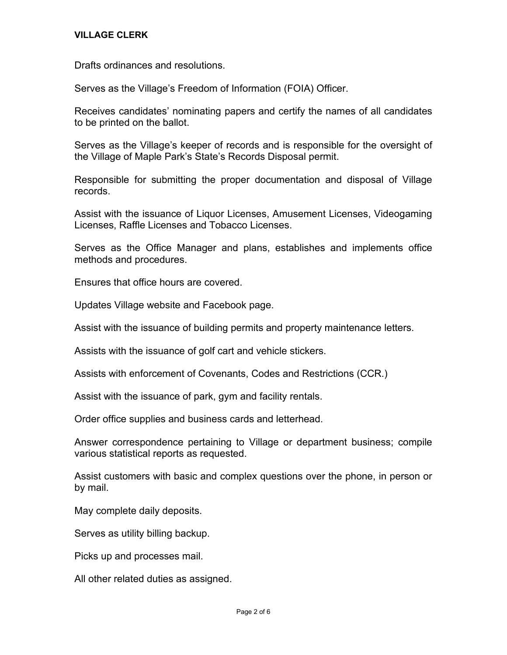#### **VILLAGE CLERK**

Drafts ordinances and resolutions.

Serves as the Village's Freedom of Information (FOIA) Officer.

Receives candidates' nominating papers and certify the names of all candidates to be printed on the ballot.

Serves as the Village's keeper of records and is responsible for the oversight of the Village of Maple Park's State's Records Disposal permit.

Responsible for submitting the proper documentation and disposal of Village records.

Assist with the issuance of Liquor Licenses, Amusement Licenses, Videogaming Licenses, Raffle Licenses and Tobacco Licenses.

Serves as the Office Manager and plans, establishes and implements office methods and procedures.

Ensures that office hours are covered.

Updates Village website and Facebook page.

Assist with the issuance of building permits and property maintenance letters.

Assists with the issuance of golf cart and vehicle stickers.

Assists with enforcement of Covenants, Codes and Restrictions (CCR.)

Assist with the issuance of park, gym and facility rentals.

Order office supplies and business cards and letterhead.

Answer correspondence pertaining to Village or department business; compile various statistical reports as requested.

Assist customers with basic and complex questions over the phone, in person or by mail.

May complete daily deposits.

Serves as utility billing backup.

Picks up and processes mail.

All other related duties as assigned.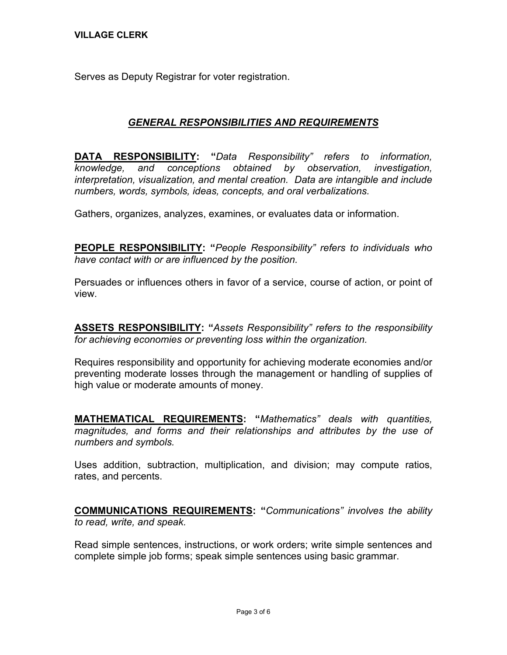Serves as Deputy Registrar for voter registration.

# *GENERAL RESPONSIBILITIES AND REQUIREMENTS*

**DATA RESPONSIBILITY: "***Data Responsibility" refers to information, knowledge, and conceptions obtained by observation, investigation, interpretation, visualization, and mental creation. Data are intangible and include numbers, words, symbols, ideas, concepts, and oral verbalizations.* 

Gathers, organizes, analyzes, examines, or evaluates data or information.

**PEOPLE RESPONSIBILITY: "***People Responsibility" refers to individuals who have contact with or are influenced by the position.*

Persuades or influences others in favor of a service, course of action, or point of view.

**ASSETS RESPONSIBILITY: "***Assets Responsibility" refers to the responsibility for achieving economies or preventing loss within the organization.*

Requires responsibility and opportunity for achieving moderate economies and/or preventing moderate losses through the management or handling of supplies of high value or moderate amounts of money.

**MATHEMATICAL REQUIREMENTS: "***Mathematics" deals with quantities, magnitudes, and forms and their relationships and attributes by the use of numbers and symbols.* 

Uses addition, subtraction, multiplication, and division; may compute ratios, rates, and percents.

**COMMUNICATIONS REQUIREMENTS: "***Communications" involves the ability to read, write, and speak.* 

Read simple sentences, instructions, or work orders; write simple sentences and complete simple job forms; speak simple sentences using basic grammar.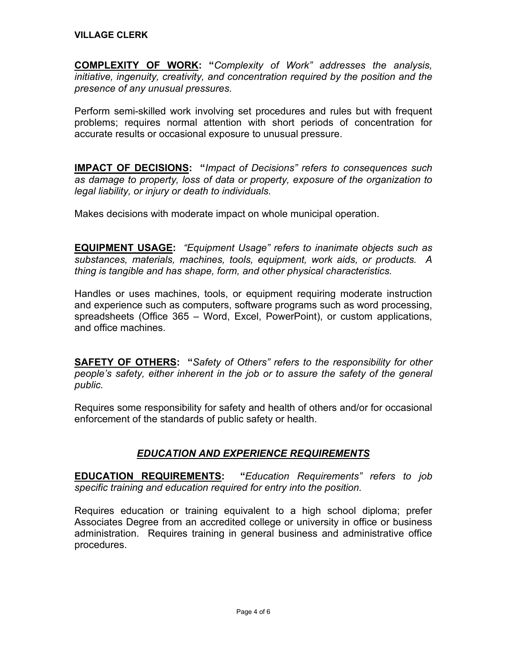**COMPLEXITY OF WORK: "***Complexity of Work" addresses the analysis, initiative, ingenuity, creativity, and concentration required by the position and the presence of any unusual pressures.*

Perform semi-skilled work involving set procedures and rules but with frequent problems; requires normal attention with short periods of concentration for accurate results or occasional exposure to unusual pressure.

**IMPACT OF DECISIONS: "***Impact of Decisions" refers to consequences such as damage to property, loss of data or property, exposure of the organization to legal liability, or injury or death to individuals.*

Makes decisions with moderate impact on whole municipal operation.

**EQUIPMENT USAGE:** *"Equipment Usage" refers to inanimate objects such as substances, materials, machines, tools, equipment, work aids, or products. A thing is tangible and has shape, form, and other physical characteristics.* 

Handles or uses machines, tools, or equipment requiring moderate instruction and experience such as computers, software programs such as word processing, spreadsheets (Office 365 – Word, Excel, PowerPoint), or custom applications, and office machines.

**SAFETY OF OTHERS: "***Safety of Others" refers to the responsibility for other people's safety, either inherent in the job or to assure the safety of the general public.*

Requires some responsibility for safety and health of others and/or for occasional enforcement of the standards of public safety or health.

# *EDUCATION AND EXPERIENCE REQUIREMENTS*

**EDUCATION REQUIREMENTS: "***Education Requirements" refers to job specific training and education required for entry into the position.*

Requires education or training equivalent to a high school diploma; prefer Associates Degree from an accredited college or university in office or business administration. Requires training in general business and administrative office procedures.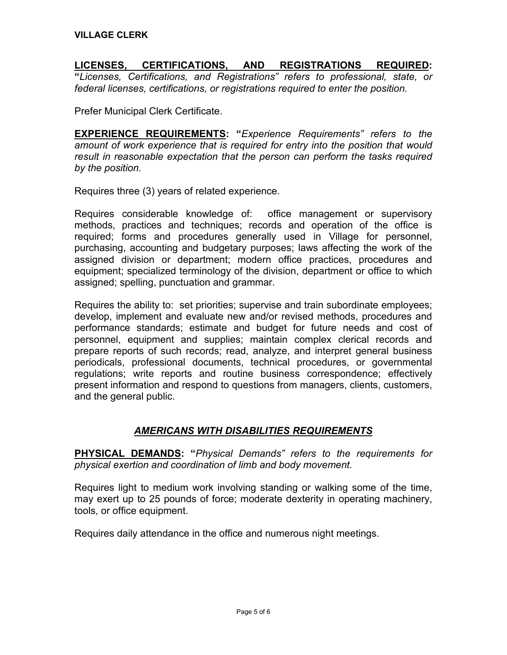#### **LICENSES, CERTIFICATIONS, AND REGISTRATIONS REQUIRED: "***Licenses, Certifications, and Registrations" refers to professional, state, or federal licenses, certifications, or registrations required to enter the position.*

Prefer Municipal Clerk Certificate.

**EXPERIENCE REQUIREMENTS: "***Experience Requirements" refers to the amount of work experience that is required for entry into the position that would result in reasonable expectation that the person can perform the tasks required by the position.* 

Requires three (3) years of related experience.

Requires considerable knowledge of: office management or supervisory methods, practices and techniques; records and operation of the office is required; forms and procedures generally used in Village for personnel, purchasing, accounting and budgetary purposes; laws affecting the work of the assigned division or department; modern office practices, procedures and equipment; specialized terminology of the division, department or office to which assigned; spelling, punctuation and grammar.

Requires the ability to: set priorities; supervise and train subordinate employees; develop, implement and evaluate new and/or revised methods, procedures and performance standards; estimate and budget for future needs and cost of personnel, equipment and supplies; maintain complex clerical records and prepare reports of such records; read, analyze, and interpret general business periodicals, professional documents, technical procedures, or governmental regulations; write reports and routine business correspondence; effectively present information and respond to questions from managers, clients, customers, and the general public.

#### *AMERICANS WITH DISABILITIES REQUIREMENTS*

**PHYSICAL DEMANDS: "***Physical Demands" refers to the requirements for physical exertion and coordination of limb and body movement.*

Requires light to medium work involving standing or walking some of the time, may exert up to 25 pounds of force; moderate dexterity in operating machinery, tools, or office equipment.

Requires daily attendance in the office and numerous night meetings.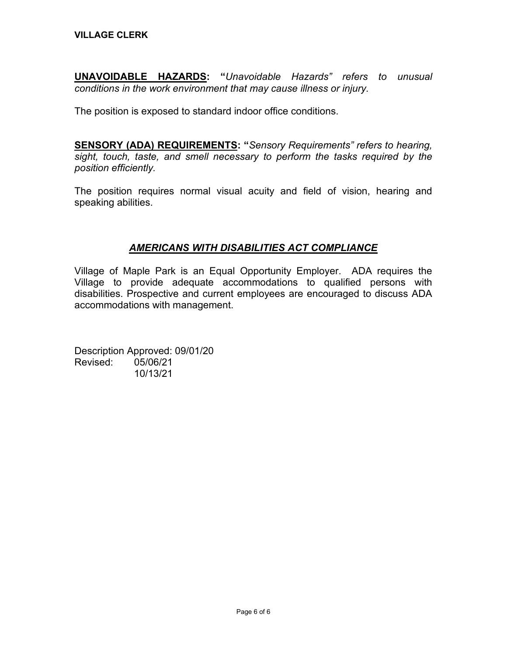**UNAVOIDABLE HAZARDS: "***Unavoidable Hazards" refers to unusual conditions in the work environment that may cause illness or injury.*

The position is exposed to standard indoor office conditions.

**SENSORY (ADA) REQUIREMENTS: "***Sensory Requirements" refers to hearing, sight, touch, taste, and smell necessary to perform the tasks required by the position efficiently.*

The position requires normal visual acuity and field of vision, hearing and speaking abilities.

#### *AMERICANS WITH DISABILITIES ACT COMPLIANCE*

Village of Maple Park is an Equal Opportunity Employer. ADA requires the Village to provide adequate accommodations to qualified persons with disabilities. Prospective and current employees are encouraged to discuss ADA accommodations with management.

Description Approved: 09/01/20 Revised: 05/06/21 10/13/21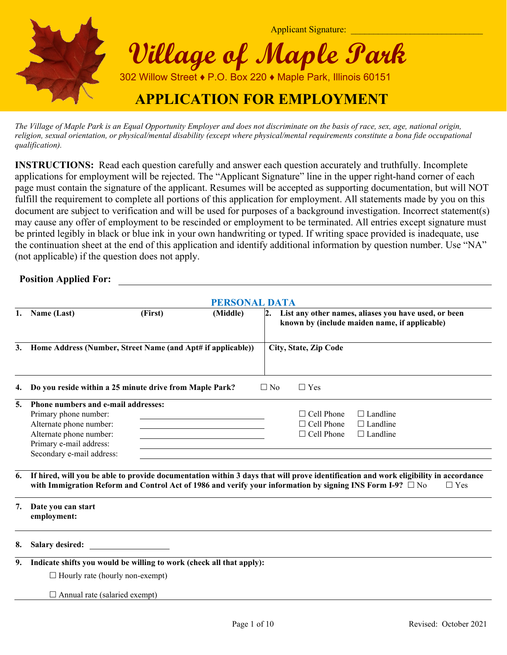

*The Village of Maple Park is an Equal Opportunity Employer and does not discriminate on the basis of race, sex, age, national origin, religion, sexual orientation, or physical/mental disability (except where physical/mental requirements constitute a bona fide occupational qualification).*

**INSTRUCTIONS:** Read each question carefully and answer each question accurately and truthfully. Incomplete applications for employment will be rejected. The "Applicant Signature" line in the upper right-hand corner of each page must contain the signature of the applicant. Resumes will be accepted as supporting documentation, but will NOT fulfill the requirement to complete all portions of this application for employment. All statements made by you on this document are subject to verification and will be used for purposes of a background investigation. Incorrect statement(s) may cause any offer of employment to be rescinded or employment to be terminated. All entries except signature must be printed legibly in black or blue ink in your own handwriting or typed. If writing space provided is inadequate, use the continuation sheet at the end of this application and identify additional information by question number. Use "NA" (not applicable) if the question does not apply.

#### **Position Applied For:**

|    |                                                                                                                                                                                                                                                       |         | <b>PERSONAL DATA</b> |           |                                                             |                                                                                                       |            |
|----|-------------------------------------------------------------------------------------------------------------------------------------------------------------------------------------------------------------------------------------------------------|---------|----------------------|-----------|-------------------------------------------------------------|-------------------------------------------------------------------------------------------------------|------------|
| 1. | Name (Last)                                                                                                                                                                                                                                           | (First) | (Middle)             | 2.        |                                                             | List any other names, aliases you have used, or been<br>known by (include maiden name, if applicable) |            |
| 3. | Home Address (Number, Street Name (and Apt# if applicable))                                                                                                                                                                                           |         |                      |           | City, State, Zip Code                                       |                                                                                                       |            |
| 4. | Do you reside within a 25 minute drive from Maple Park?                                                                                                                                                                                               |         |                      | $\Box$ No | $\Box$ Yes                                                  |                                                                                                       |            |
| 5. | Phone numbers and e-mail addresses:<br>Primary phone number:<br>Alternate phone number:<br>Alternate phone number:<br>Primary e-mail address:<br>Secondary e-mail address:                                                                            |         |                      |           | $\Box$ Cell Phone<br>$\Box$ Cell Phone<br>$\Box$ Cell Phone | $\Box$ Landline<br>$\Box$ Landline<br>$\Box$ Landline                                                 |            |
| 6. | If hired, will you be able to provide documentation within 3 days that will prove identification and work eligibility in accordance<br>with Immigration Reform and Control Act of 1986 and verify your information by signing INS Form I-9? $\Box$ No |         |                      |           |                                                             |                                                                                                       | $\Box$ Yes |
| 7. | Date you can start<br>employment:                                                                                                                                                                                                                     |         |                      |           |                                                             |                                                                                                       |            |
| 8. | <b>Salary desired:</b>                                                                                                                                                                                                                                |         |                      |           |                                                             |                                                                                                       |            |
| 9. | Indicate shifts you would be willing to work (check all that apply):                                                                                                                                                                                  |         |                      |           |                                                             |                                                                                                       |            |
|    | $\Box$ Hourly rate (hourly non-exempt)                                                                                                                                                                                                                |         |                      |           |                                                             |                                                                                                       |            |
|    | $\Box$ Annual rate (salaried exempt)                                                                                                                                                                                                                  |         |                      |           |                                                             |                                                                                                       |            |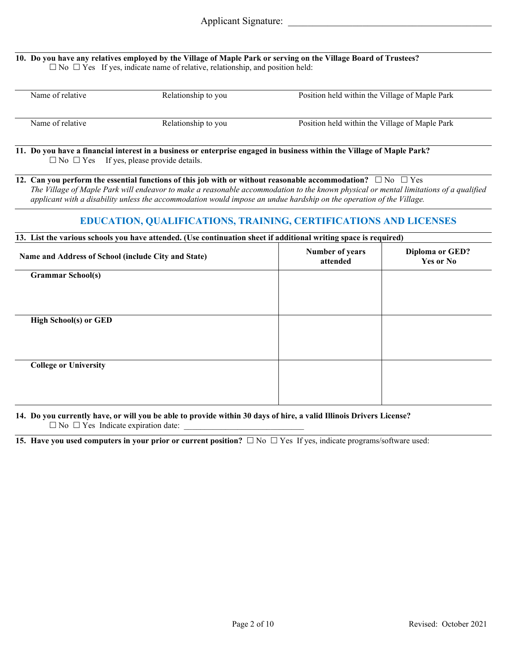**10. Do you have any relatives employed by the Village of Maple Park or serving on the Village Board of Trustees?**  $\Box$  No  $\Box$  Yes If yes, indicate name of relative, relationship, and position held:

| Name of relative | Relationship to you | Position held within the Village of Maple Park |  |
|------------------|---------------------|------------------------------------------------|--|
| Name of relative | Relationship to you | Position held within the Village of Maple Park |  |

**11. Do you have a financial interest in a business or enterprise engaged in business within the Village of Maple Park?**  $\Box$  No  $\Box$  Yes If yes, please provide details.

**12.** Can you perform the essential functions of this job with or without reasonable accommodation?  $\Box$  No  $\Box$  Yes *The Village of Maple Park will endeavor to make a reasonable accommodation to the known physical or mental limitations of a qualified applicant with a disability unless the accommodation would impose an undue hardship on the operation of the Village.*

#### **EDUCATION, QUALIFICATIONS, TRAINING, CERTIFICATIONS AND LICENSES**

#### **13. List the various schools you have attended. (Use continuation sheet if additional writing space is required)**

| Name and Address of School (include City and State) | <b>Number of years</b><br>attended | Diploma or GED?<br>Yes or No |
|-----------------------------------------------------|------------------------------------|------------------------------|
| <b>Grammar School(s)</b>                            |                                    |                              |
|                                                     |                                    |                              |
|                                                     |                                    |                              |
| <b>High School(s) or GED</b>                        |                                    |                              |
|                                                     |                                    |                              |
|                                                     |                                    |                              |
| <b>College or University</b>                        |                                    |                              |
|                                                     |                                    |                              |
|                                                     |                                    |                              |

#### **14. Do you currently have, or will you be able to provide within 30 days of hire, a valid Illinois Drivers License?**  $\Box$  No  $\Box$  Yes Indicate expiration date:

**15. Have you used computers in your prior or current position?**  $\Box$  No  $\Box$  Yes If yes, indicate programs/software used: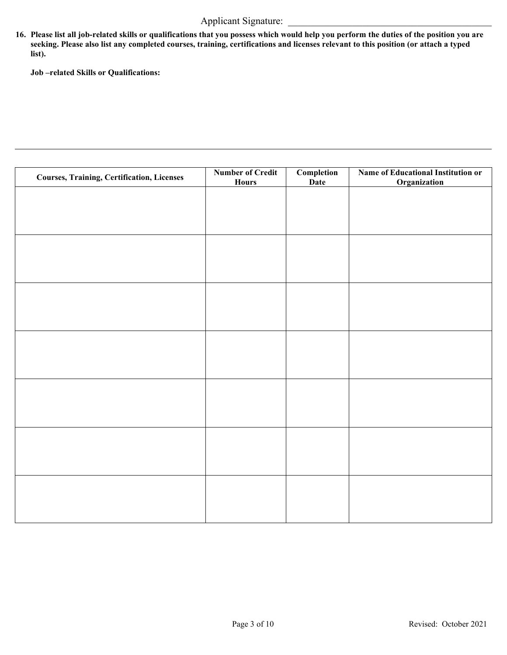#### Applicant Signature: \_\_\_\_\_\_\_\_\_\_\_\_\_\_\_\_\_\_\_\_\_\_\_\_\_\_\_\_\_\_\_\_\_\_\_\_\_\_\_\_\_

**16. Please list all job-related skills or qualifications that you possess which would help you perform the duties of the position you are seeking. Please also list any completed courses, training, certifications and licenses relevant to this position (or attach a typed list).**

**Job –related Skills or Qualifications:**

| Courses, Training, Certification, Licenses | <b>Number of Credit</b><br><b>Hours</b> | Completion<br>Date | Name of Educational Institution or<br><b>Organization</b> |
|--------------------------------------------|-----------------------------------------|--------------------|-----------------------------------------------------------|
|                                            |                                         |                    |                                                           |
|                                            |                                         |                    |                                                           |
|                                            |                                         |                    |                                                           |
|                                            |                                         |                    |                                                           |
|                                            |                                         |                    |                                                           |
|                                            |                                         |                    |                                                           |
|                                            |                                         |                    |                                                           |
|                                            |                                         |                    |                                                           |
|                                            |                                         |                    |                                                           |
|                                            |                                         |                    |                                                           |
|                                            |                                         |                    |                                                           |
|                                            |                                         |                    |                                                           |
|                                            |                                         |                    |                                                           |
|                                            |                                         |                    |                                                           |
|                                            |                                         |                    |                                                           |
|                                            |                                         |                    |                                                           |
|                                            |                                         |                    |                                                           |
|                                            |                                         |                    |                                                           |
|                                            |                                         |                    |                                                           |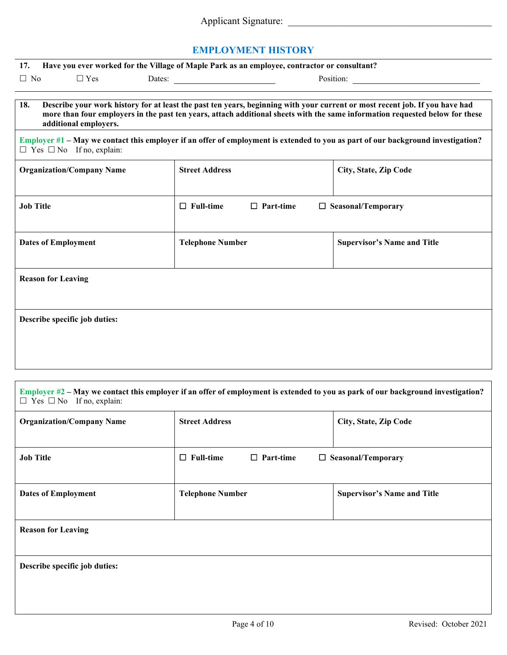| <b>Applicant Signature:</b> |  |
|-----------------------------|--|
|                             |  |

#### **EMPLOYMENT HISTORY**

| 17.                                            | Have you ever worked for the Village of Maple Park as an employee, contractor or consultant?                                                                                                                                                                |                                    |  |  |  |
|------------------------------------------------|-------------------------------------------------------------------------------------------------------------------------------------------------------------------------------------------------------------------------------------------------------------|------------------------------------|--|--|--|
| $\Box$ Yes<br>Position:<br>$\Box$ No<br>Dates: |                                                                                                                                                                                                                                                             |                                    |  |  |  |
|                                                |                                                                                                                                                                                                                                                             |                                    |  |  |  |
| 18.<br>additional employers.                   | Describe your work history for at least the past ten years, beginning with your current or most recent job. If you have had<br>more than four employers in the past ten years, attach additional sheets with the same information requested below for these |                                    |  |  |  |
| $\Box$ Yes $\Box$ No If no, explain:           | Employer $#1$ – May we contact this employer if an offer of employment is extended to you as part of our background investigation?                                                                                                                          |                                    |  |  |  |
| <b>Organization/Company Name</b>               | <b>Street Address</b>                                                                                                                                                                                                                                       | City, State, Zip Code              |  |  |  |
| <b>Job Title</b>                               | $\Box$ Full-time<br>$\Box$ Part-time                                                                                                                                                                                                                        | $\Box$ Seasonal/Temporary          |  |  |  |
| <b>Dates of Employment</b>                     | <b>Telephone Number</b>                                                                                                                                                                                                                                     | <b>Supervisor's Name and Title</b> |  |  |  |
| <b>Reason for Leaving</b>                      |                                                                                                                                                                                                                                                             |                                    |  |  |  |
| Describe specific job duties:                  |                                                                                                                                                                                                                                                             |                                    |  |  |  |
|                                                |                                                                                                                                                                                                                                                             |                                    |  |  |  |
| $\Box$ Yes $\Box$ No If no, explain:           | Employer $#2$ – May we contact this employer if an offer of employment is extended to you as park of our background investigation?                                                                                                                          |                                    |  |  |  |
| <b>Organization/Company Name</b>               | <b>Street Address</b>                                                                                                                                                                                                                                       | City, State, Zip Code              |  |  |  |
| <b>Job Title</b>                               | $\Box$ Full-time<br>$\Box$ Part-time                                                                                                                                                                                                                        | $\Box$ Seasonal/Temporary          |  |  |  |
| <b>Dates of Employment</b>                     | <b>Telephone Number</b>                                                                                                                                                                                                                                     | <b>Supervisor's Name and Title</b> |  |  |  |
| <b>Reason for Leaving</b>                      |                                                                                                                                                                                                                                                             |                                    |  |  |  |
| Describe specific job duties:                  |                                                                                                                                                                                                                                                             |                                    |  |  |  |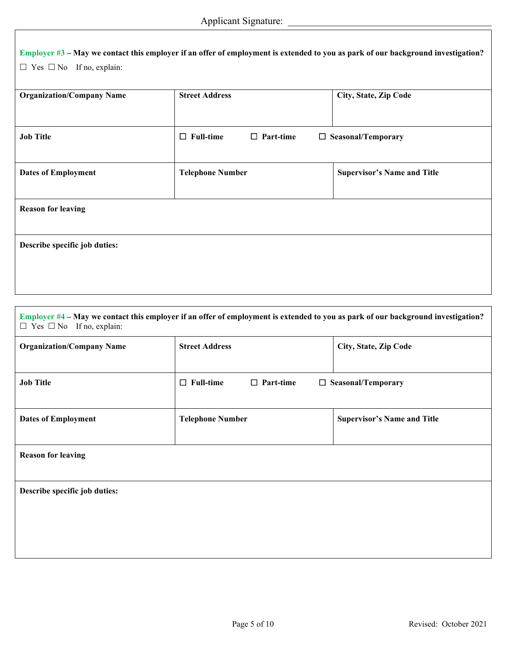| Employer $#3$ – May we contact this employer if an offer of employment is extended to you as park of our background investigation?<br>$\Box$ Yes $\Box$ No If no, explain: |                                      |                                    |  |  |
|----------------------------------------------------------------------------------------------------------------------------------------------------------------------------|--------------------------------------|------------------------------------|--|--|
| <b>Organization/Company Name</b>                                                                                                                                           | <b>Street Address</b>                | City, State, Zip Code              |  |  |
| <b>Job Title</b>                                                                                                                                                           | $\Box$ Full-time<br>$\Box$ Part-time | $\Box$ Seasonal/Temporary          |  |  |
| <b>Dates of Employment</b>                                                                                                                                                 | <b>Telephone Number</b>              | <b>Supervisor's Name and Title</b> |  |  |
| <b>Reason for leaving</b>                                                                                                                                                  |                                      |                                    |  |  |
| Describe specific job duties:                                                                                                                                              |                                      |                                    |  |  |

#### **Employer #4 – May we contact this employer if an offer of employment is extended to you as park of our background investigation?**  $\Box$  Yes  $\Box$  No If no, explain:

| <b>Organization/Company Name</b> | <b>Street Address</b>                | City, State, Zip Code              |  |  |
|----------------------------------|--------------------------------------|------------------------------------|--|--|
|                                  |                                      |                                    |  |  |
| <b>Job Title</b>                 | $\Box$ Full-time<br>$\Box$ Part-time | $\Box$ Seasonal/Temporary          |  |  |
|                                  |                                      |                                    |  |  |
| <b>Dates of Employment</b>       | <b>Telephone Number</b>              | <b>Supervisor's Name and Title</b> |  |  |
|                                  |                                      |                                    |  |  |
| <b>Reason for leaving</b>        |                                      |                                    |  |  |
|                                  |                                      |                                    |  |  |
| Describe specific job duties:    |                                      |                                    |  |  |
|                                  |                                      |                                    |  |  |
|                                  |                                      |                                    |  |  |
|                                  |                                      |                                    |  |  |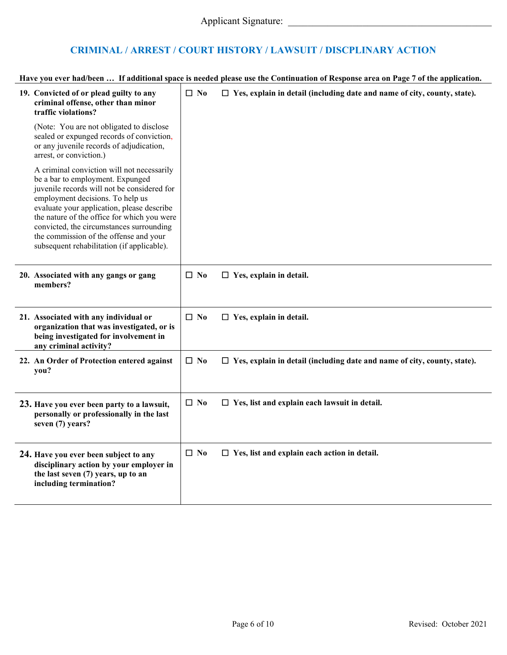# **CRIMINAL / ARREST / COURT HISTORY / LAWSUIT / DISCPLINARY ACTION**

| 19. Convicted of or plead guilty to any<br>criminal offense, other than minor<br>traffic violations?                                                                                                                                                                                                                                                                                               | $\square$ No | $\Box$ Yes, explain in detail (including date and name of city, county, state). |
|----------------------------------------------------------------------------------------------------------------------------------------------------------------------------------------------------------------------------------------------------------------------------------------------------------------------------------------------------------------------------------------------------|--------------|---------------------------------------------------------------------------------|
| (Note: You are not obligated to disclose<br>sealed or expunged records of conviction,<br>or any juvenile records of adjudication,<br>arrest, or conviction.)                                                                                                                                                                                                                                       |              |                                                                                 |
| A criminal conviction will not necessarily<br>be a bar to employment. Expunged<br>juvenile records will not be considered for<br>employment decisions. To help us<br>evaluate your application, please describe<br>the nature of the office for which you were<br>convicted, the circumstances surrounding<br>the commission of the offense and your<br>subsequent rehabilitation (if applicable). |              |                                                                                 |
| 20. Associated with any gangs or gang<br>members?                                                                                                                                                                                                                                                                                                                                                  | $\Box$ No    | $\Box$ Yes, explain in detail.                                                  |
| 21. Associated with any individual or<br>organization that was investigated, or is<br>being investigated for involvement in<br>any criminal activity?                                                                                                                                                                                                                                              | $\square$ No | $\Box$ Yes, explain in detail.                                                  |
| 22. An Order of Protection entered against<br>you?                                                                                                                                                                                                                                                                                                                                                 | $\Box$ No    | $\Box$ Yes, explain in detail (including date and name of city, county, state). |
| 23. Have you ever been party to a lawsuit,<br>personally or professionally in the last<br>seven (7) years?                                                                                                                                                                                                                                                                                         | $\Box$ No    | $\Box$ Yes, list and explain each lawsuit in detail.                            |
| 24. Have you ever been subject to any<br>disciplinary action by your employer in<br>the last seven (7) years, up to an<br>including termination?                                                                                                                                                                                                                                                   | $\Box$ No    | $\Box$ Yes, list and explain each action in detail.                             |

#### **Have you ever had/been … If additional space is needed please use the Continuation of Response area on Page 7 of the application.**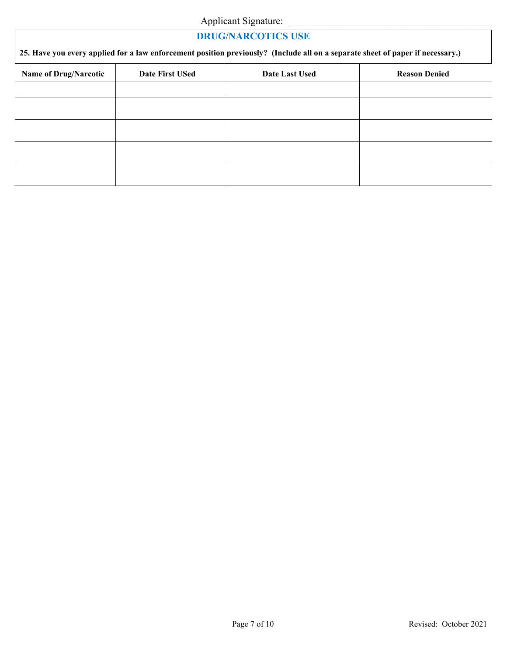Applicant Signature:

# **DRUG/NARCOTICS USE**

**25. Have you every applied for a law enforcement position previously? (Include all on a separate sheet of paper if necessary.)**

| <b>Name of Drug/Narcotic</b> | <b>Date First USed</b> | Date Last Used | <b>Reason Denied</b> |
|------------------------------|------------------------|----------------|----------------------|
|                              |                        |                |                      |
|                              |                        |                |                      |
|                              |                        |                |                      |
|                              |                        |                |                      |
|                              |                        |                |                      |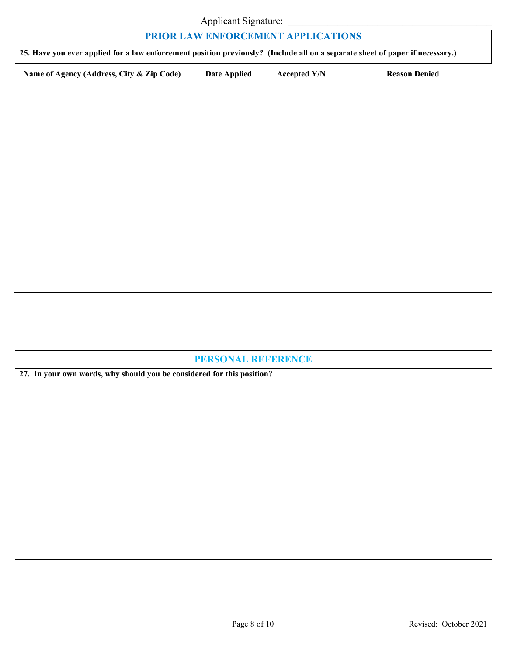Applicant Signature:

# **PRIOR LAW ENFORCEMENT APPLICATIONS 25. Have you ever applied for a law enforcement position previously? (Include all on a separate sheet of paper if necessary.) Name of Agency (Address, City & Zip Code) Date Applied Accepted Y/N Reason Denied**

#### **PERSONAL REFERENCE**

**27. In your own words, why should you be considered for this position?**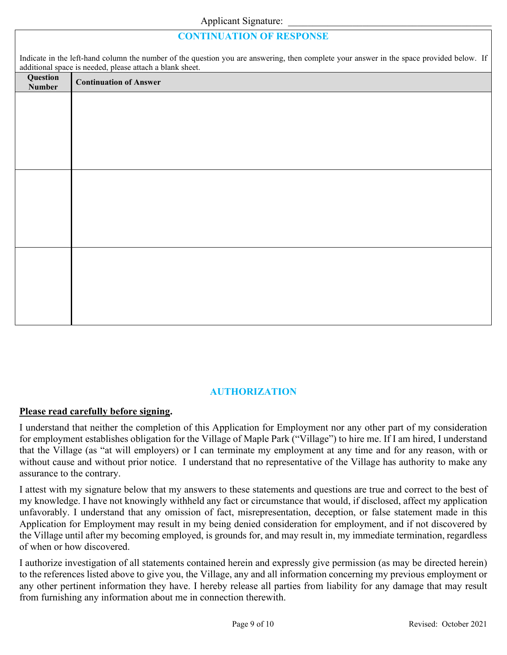#### **CONTINUATION OF RESPONSE**

Indicate in the left-hand column the number of the question you are answering, then complete your answer in the space provided below. If additional space is needed, please attach a blank sheet.

| Question<br>Number | <b>Continuation of Answer</b> |
|--------------------|-------------------------------|
|                    |                               |
|                    |                               |
|                    |                               |
|                    |                               |
|                    |                               |
|                    |                               |
|                    |                               |
|                    |                               |
|                    |                               |
|                    |                               |
|                    |                               |
|                    |                               |

#### **AUTHORIZATION**

#### **Please read carefully before signing.**

I understand that neither the completion of this Application for Employment nor any other part of my consideration for employment establishes obligation for the Village of Maple Park ("Village") to hire me. If I am hired, I understand that the Village (as "at will employers) or I can terminate my employment at any time and for any reason, with or without cause and without prior notice. I understand that no representative of the Village has authority to make any assurance to the contrary.

I attest with my signature below that my answers to these statements and questions are true and correct to the best of my knowledge. I have not knowingly withheld any fact or circumstance that would, if disclosed, affect my application unfavorably. I understand that any omission of fact, misrepresentation, deception, or false statement made in this Application for Employment may result in my being denied consideration for employment, and if not discovered by the Village until after my becoming employed, is grounds for, and may result in, my immediate termination, regardless of when or how discovered.

I authorize investigation of all statements contained herein and expressly give permission (as may be directed herein) to the references listed above to give you, the Village, any and all information concerning my previous employment or any other pertinent information they have. I hereby release all parties from liability for any damage that may result from furnishing any information about me in connection therewith.